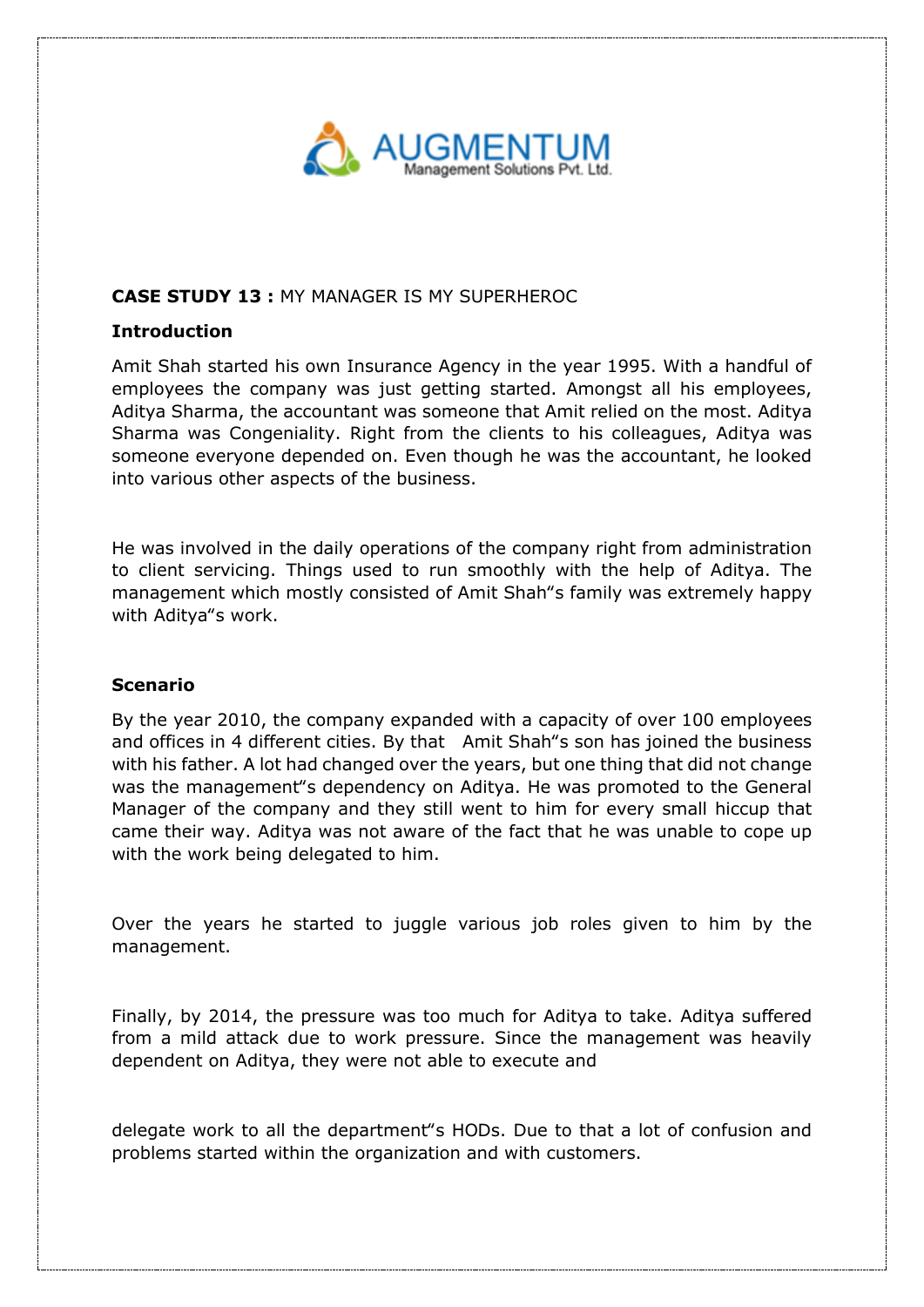

# **CASE STUDY 13 :** MY MANAGER IS MY SUPERHEROC

# **Introduction**

Amit Shah started his own Insurance Agency in the year 1995. With a handful of employees the company was just getting started. Amongst all his employees, Aditya Sharma, the accountant was someone that Amit relied on the most. Aditya Sharma was Congeniality. Right from the clients to his colleagues, Aditya was someone everyone depended on. Even though he was the accountant, he looked into various other aspects of the business.

He was involved in the daily operations of the company right from administration to client servicing. Things used to run smoothly with the help of Aditya. The management which mostly consisted of Amit Shah"s family was extremely happy with Aditya"s work.

### **Scenario**

By the year 2010, the company expanded with a capacity of over 100 employees and offices in 4 different cities. By that Amit Shah"s son has joined the business with his father. A lot had changed over the years, but one thing that did not change was the management"s dependency on Aditya. He was promoted to the General Manager of the company and they still went to him for every small hiccup that came their way. Aditya was not aware of the fact that he was unable to cope up with the work being delegated to him.

Over the years he started to juggle various job roles given to him by the management.

Finally, by 2014, the pressure was too much for Aditya to take. Aditya suffered from a mild attack due to work pressure. Since the management was heavily dependent on Aditya, they were not able to execute and

delegate work to all the department"s HODs. Due to that a lot of confusion and problems started within the organization and with customers.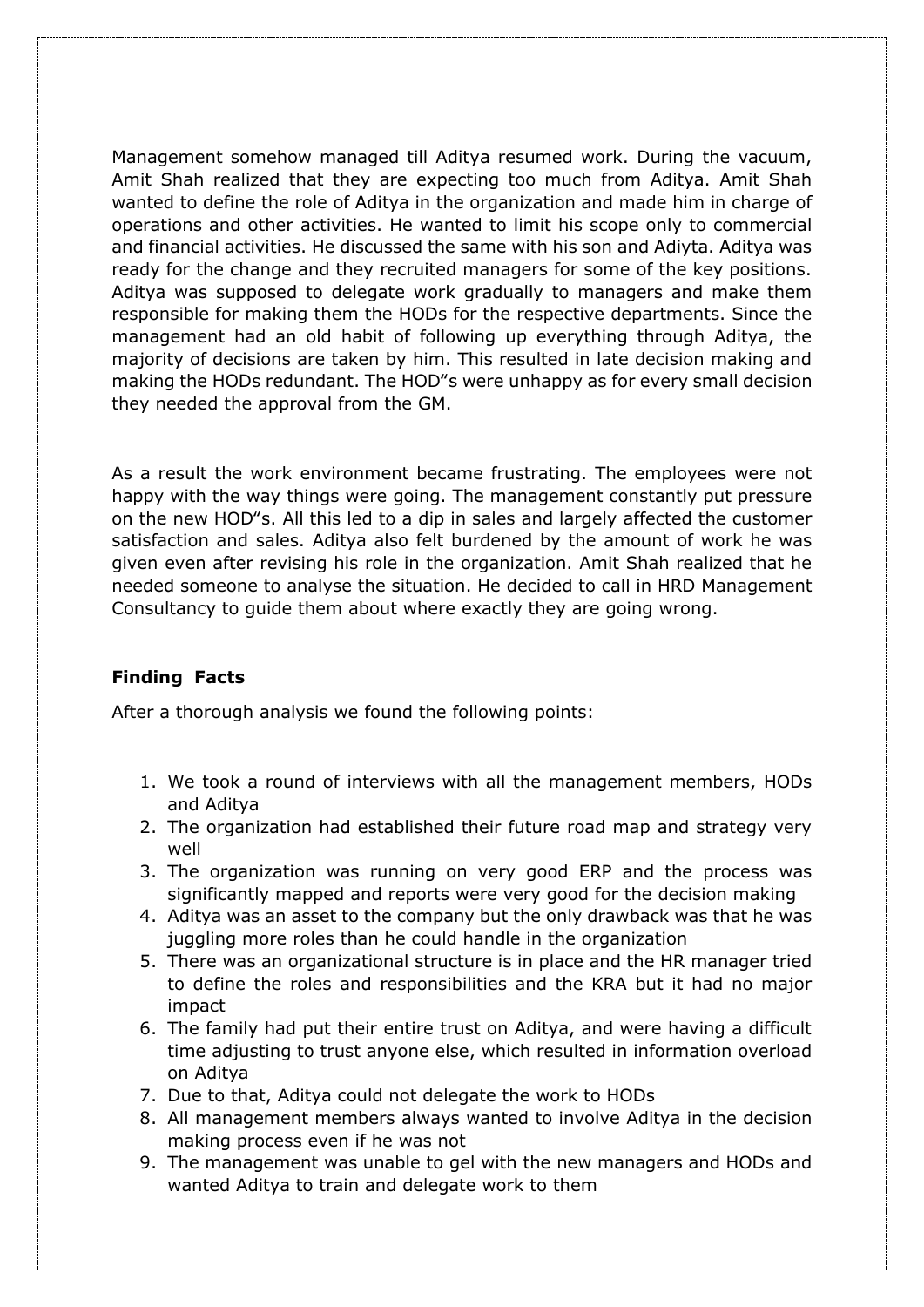Management somehow managed till Aditya resumed work. During the vacuum, Amit Shah realized that they are expecting too much from Aditya. Amit Shah wanted to define the role of Aditya in the organization and made him in charge of operations and other activities. He wanted to limit his scope only to commercial and financial activities. He discussed the same with his son and Adiyta. Aditya was ready for the change and they recruited managers for some of the key positions. Aditya was supposed to delegate work gradually to managers and make them responsible for making them the HODs for the respective departments. Since the management had an old habit of following up everything through Aditya, the majority of decisions are taken by him. This resulted in late decision making and making the HODs redundant. The HOD"s were unhappy as for every small decision they needed the approval from the GM.

As a result the work environment became frustrating. The employees were not happy with the way things were going. The management constantly put pressure on the new HOD"s. All this led to a dip in sales and largely affected the customer satisfaction and sales. Aditya also felt burdened by the amount of work he was given even after revising his role in the organization. Amit Shah realized that he needed someone to analyse the situation. He decided to call in HRD Management Consultancy to guide them about where exactly they are going wrong.

# **Finding Facts**

After a thorough analysis we found the following points:

- 1. We took a round of interviews with all the management members, HODs and Aditya
- 2. The organization had established their future road map and strategy very well
- 3. The organization was running on very good ERP and the process was significantly mapped and reports were very good for the decision making
- 4. Aditya was an asset to the company but the only drawback was that he was juggling more roles than he could handle in the organization
- 5. There was an organizational structure is in place and the HR manager tried to define the roles and responsibilities and the KRA but it had no major impact
- 6. The family had put their entire trust on Aditya, and were having a difficult time adjusting to trust anyone else, which resulted in information overload on Aditya
- 7. Due to that, Aditya could not delegate the work to HODs
- 8. All management members always wanted to involve Aditya in the decision making process even if he was not
- 9. The management was unable to gel with the new managers and HODs and wanted Aditya to train and delegate work to them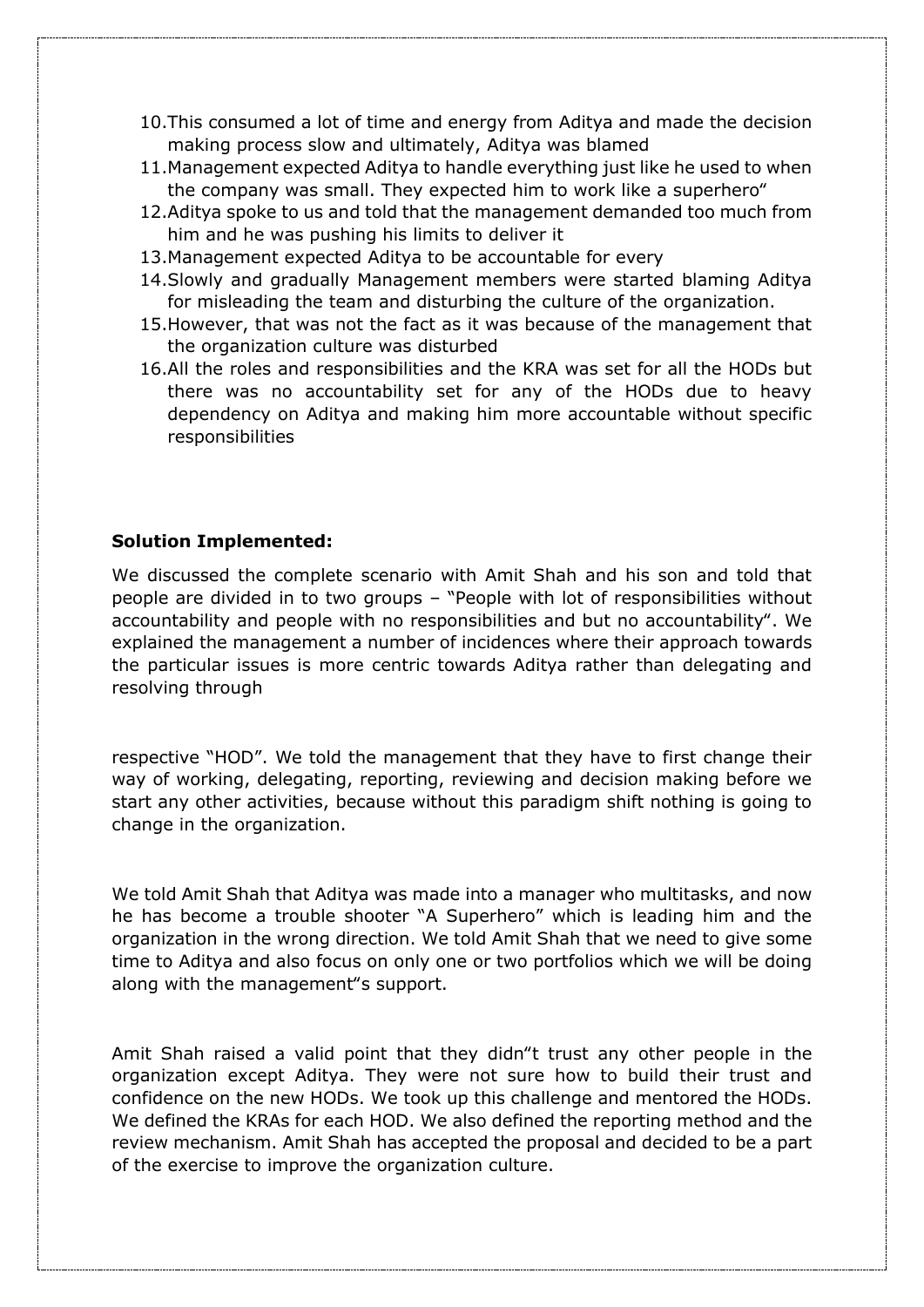- 10.This consumed a lot of time and energy from Aditya and made the decision making process slow and ultimately, Aditya was blamed
- 11.Management expected Aditya to handle everything just like he used to when the company was small. They expected him to work like a superhero"
- 12.Aditya spoke to us and told that the management demanded too much from him and he was pushing his limits to deliver it
- 13.Management expected Aditya to be accountable for every
- 14.Slowly and gradually Management members were started blaming Aditya for misleading the team and disturbing the culture of the organization.
- 15.However, that was not the fact as it was because of the management that the organization culture was disturbed
- 16.All the roles and responsibilities and the KRA was set for all the HODs but there was no accountability set for any of the HODs due to heavy dependency on Aditya and making him more accountable without specific responsibilities

### **Solution Implemented:**

We discussed the complete scenario with Amit Shah and his son and told that people are divided in to two groups – "People with lot of responsibilities without accountability and people with no responsibilities and but no accountability". We explained the management a number of incidences where their approach towards the particular issues is more centric towards Aditya rather than delegating and resolving through

respective "HOD". We told the management that they have to first change their way of working, delegating, reporting, reviewing and decision making before we start any other activities, because without this paradigm shift nothing is going to change in the organization.

We told Amit Shah that Aditya was made into a manager who multitasks, and now he has become a trouble shooter "A Superhero" which is leading him and the organization in the wrong direction. We told Amit Shah that we need to give some time to Aditya and also focus on only one or two portfolios which we will be doing along with the management"s support.

Amit Shah raised a valid point that they didn"t trust any other people in the organization except Aditya. They were not sure how to build their trust and confidence on the new HODs. We took up this challenge and mentored the HODs. We defined the KRAs for each HOD. We also defined the reporting method and the review mechanism. Amit Shah has accepted the proposal and decided to be a part of the exercise to improve the organization culture.